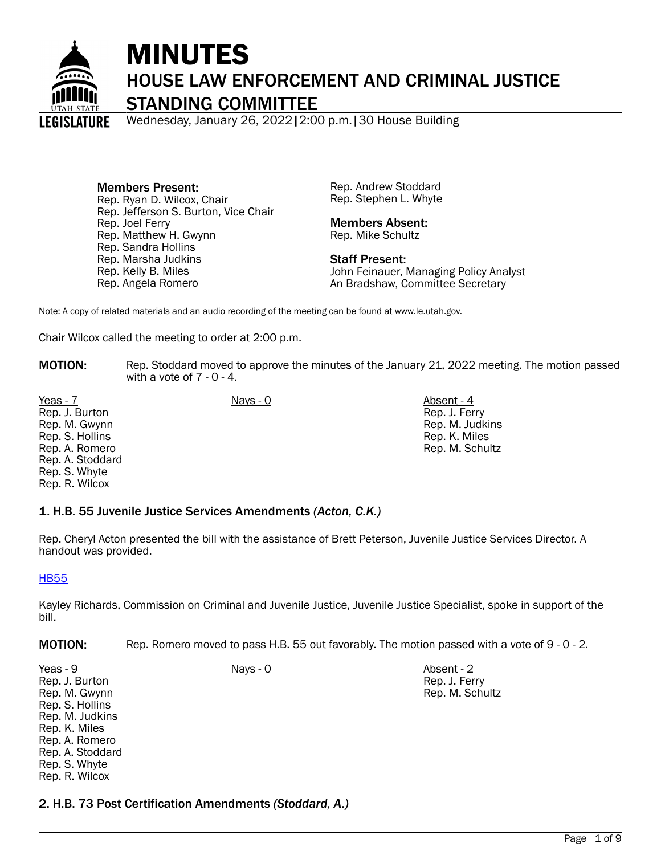

# MINUTES HOUSE LAW ENFORCEMENT AND CRIMINAL JUSTICE STANDING COMMITTEE

Wednesday, January 26, 2022|2:00 p.m.|30 House Building

Members Present: Rep. Ryan D. Wilcox, Chair Rep. Jefferson S. Burton, Vice Chair Rep. Joel Ferry Rep. Matthew H. Gwynn Rep. Sandra Hollins Rep. Marsha Judkins Rep. Kelly B. Miles Rep. Angela Romero

Rep. Andrew Stoddard Rep. Stephen L. Whyte

#### Members Absent: Rep. Mike Schultz

Staff Present: John Feinauer, Managing Policy Analyst An Bradshaw, Committee Secretary

Note: A copy of related materials and an audio recording of the meeting can be found at www.le.utah.gov.

Chair Wilcox called the meeting to order at 2:00 p.m.

**MOTION:** Rep. Stoddard moved to approve the minutes of the January 21, 2022 meeting. The motion passed with a vote of  $7 - 0 - 4$ .

Yeas - 7 Nays - 0 Nays - 0 Nays - 0 Absent - 4 Rep. J. Burton Rep. M. Gwynn Rep. S. Hollins Rep. A. Romero Rep. A. Stoddard Rep. S. Whyte Rep. R. Wilcox

Rep. J. Ferry Rep. M. Judkins Rep. K. Miles Rep. M. Schultz

## 1. H.B. 55 Juvenile Justice Services Amendments *(Acton, C.K.)*

Rep. Cheryl Acton presented the bill with the assistance of Brett Peterson, Juvenile Justice Services Director. A handout was provided.

[HB55](https://le.utah.gov/interim/2022/pdf/00000782.pdf)

Kayley Richards, Commission on Criminal and Juvenile Justice, Juvenile Justice Specialist, spoke in support of the bill.

**MOTION:** Rep. Romero moved to pass H.B. 55 out favorably. The motion passed with a vote of 9 - 0 - 2.

Yeas - 9 Nays - 0 Absent - 2 Rep. J. Burton Rep. M. Gwynn Rep. S. Hollins Rep. M. Judkins Rep. K. Miles Rep. A. Romero Rep. A. Stoddard Rep. S. Whyte Rep. R. Wilcox

Rep. J. Ferry Rep. M. Schultz

2. H.B. 73 Post Certification Amendments *(Stoddard, A.)*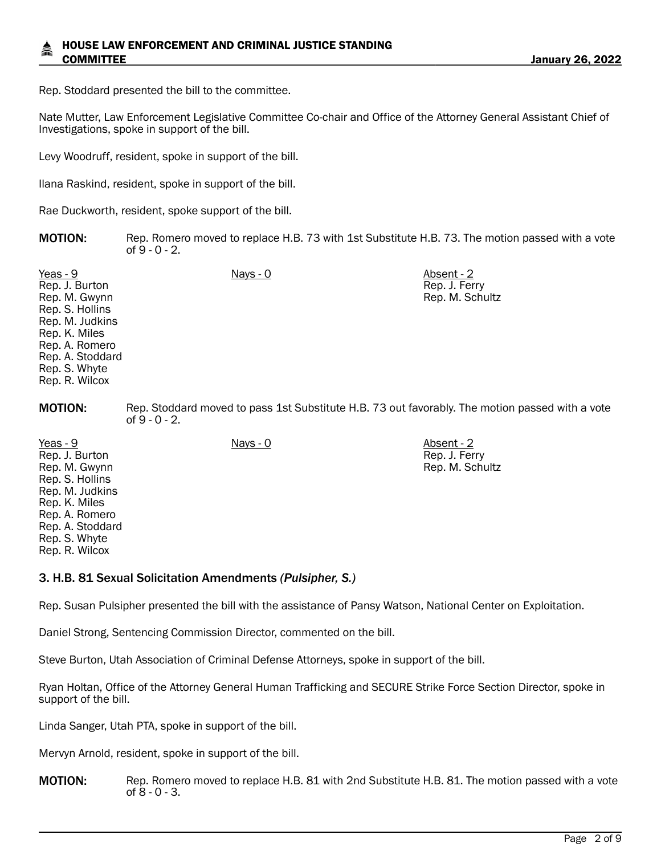Rep. Stoddard presented the bill to the committee.

Nate Mutter, Law Enforcement Legislative Committee Co-chair and Office of the Attorney General Assistant Chief of Investigations, spoke in support of the bill.

Levy Woodruff, resident, spoke in support of the bill.

Ilana Raskind, resident, spoke in support of the bill.

Rae Duckworth, resident, spoke support of the bill.

| <b>MOTION:</b> | Rep. Romero moved to replace H.B. 73 with 1st Substitute H.B. 73. The motion passed with a vote |
|----------------|-------------------------------------------------------------------------------------------------|
|                | of 9 - 0 - 2.                                                                                   |

Rep. J. Ferry Rep. M. Schultz

Rep. J. Ferry Rep. M. Schultz

Yeas - 9 Nays - 0 Absent - 2 Rep. J. Burton Rep. M. Gwynn Rep. S. Hollins Rep. M. Judkins Rep. K. Miles Rep. A. Romero Rep. A. Stoddard Rep. S. Whyte Rep. R. Wilcox

**MOTION:** Rep. Stoddard moved to pass 1st Substitute H.B. 73 out favorably. The motion passed with a vote of 9 - 0 - 2.

Yeas - 9 Nays - 0 Absent - 2 Rep. J. Burton Rep. M. Gwynn Rep. S. Hollins Rep. M. Judkins Rep. K. Miles Rep. A. Romero Rep. A. Stoddard Rep. S. Whyte Rep. R. Wilcox

3. H.B. 81 Sexual Solicitation Amendments *(Pulsipher, S.)*

Rep. Susan Pulsipher presented the bill with the assistance of Pansy Watson, National Center on Exploitation.

Daniel Strong, Sentencing Commission Director, commented on the bill.

Steve Burton, Utah Association of Criminal Defense Attorneys, spoke in support of the bill.

Ryan Holtan, Office of the Attorney General Human Trafficking and SECURE Strike Force Section Director, spoke in support of the bill.

Linda Sanger, Utah PTA, spoke in support of the bill.

Mervyn Arnold, resident, spoke in support of the bill.

**MOTION:** Rep. Romero moved to replace H.B. 81 with 2nd Substitute H.B. 81. The motion passed with a vote of 8 - 0 - 3.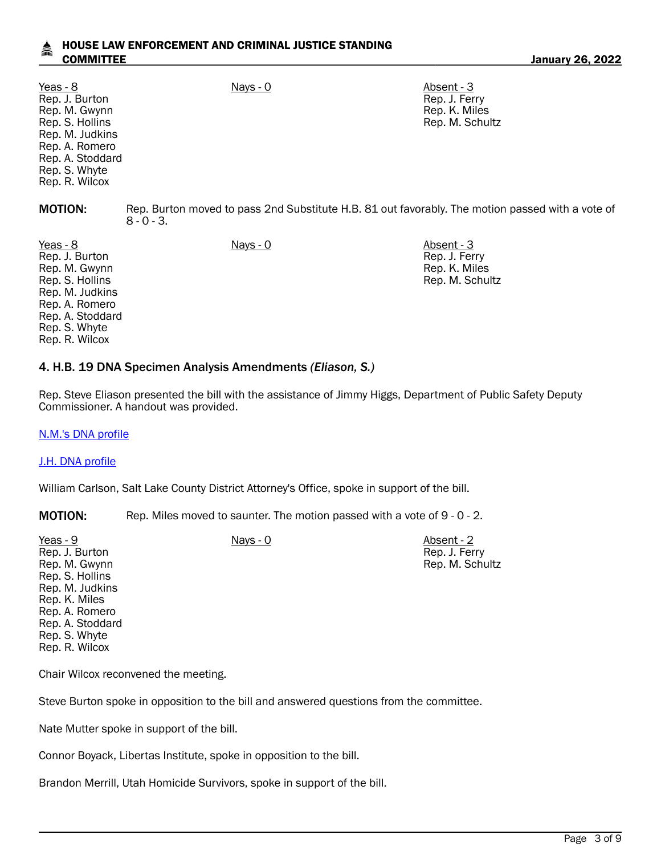| Yeas - 8<br>Rep. J. Burton<br>Rep. M. Gwynn<br>Rep. S. Hollins<br>Rep. M. Judkins<br>Rep. A. Romero<br>Rep. A. Stoddard<br>Rep. S. Whyte<br>Rep. R. Wilcox | Nays - 0                                                                                                          | Absent - 3<br>Rep. J. Ferry<br>Rep. K. Miles<br>Rep. M. Schultz |  |
|------------------------------------------------------------------------------------------------------------------------------------------------------------|-------------------------------------------------------------------------------------------------------------------|-----------------------------------------------------------------|--|
| <b>MOTION:</b>                                                                                                                                             | Rep. Burton moved to pass 2nd Substitute H.B. 81 out favorably. The motion passed with a vote of<br>$8 - 0 - 3$ . |                                                                 |  |
| Yeas - 8<br>Rep. J. Burton<br>Rep. M. Gwynn<br>Rep. S. Hollins<br>Rep. M. Judkins<br>Rep. A. Romero<br>Rep. A. Stoddard<br>Rep. S. Whyte                   | $Nays - 0$                                                                                                        | Absent - 3<br>Rep. J. Ferry<br>Rep. K. Miles<br>Rep. M. Schultz |  |

### 4. H.B. 19 DNA Specimen Analysis Amendments *(Eliason, S.)*

Rep. Steve Eliason presented the bill with the assistance of Jimmy Higgs, Department of Public Safety Deputy Commissioner. A handout was provided.

> Rep. J. Ferry Rep. M. Schultz

[N.M.'s DNA profile](https://le.utah.gov/interim/2022/pdf/00000783.pdf)

#### [J.H. DNA profile](https://le.utah.gov/interim/2022/pdf/00000853.pdf)

Rep. R. Wilcox

William Carlson, Salt Lake County District Attorney's Office, spoke in support of the bill.

**MOTION:** Rep. Miles moved to saunter. The motion passed with a vote of 9 - 0 - 2.

Yeas - 9 Nays - 0 Nays - 0 Absent - 2 Rep. J. Burton Rep. M. Gwynn Rep. S. Hollins Rep. M. Judkins Rep. K. Miles Rep. A. Romero Rep. A. Stoddard Rep. S. Whyte Rep. R. Wilcox

Chair Wilcox reconvened the meeting.

Steve Burton spoke in opposition to the bill and answered questions from the committee.

Nate Mutter spoke in support of the bill.

Connor Boyack, Libertas Institute, spoke in opposition to the bill.

Brandon Merrill, Utah Homicide Survivors, spoke in support of the bill.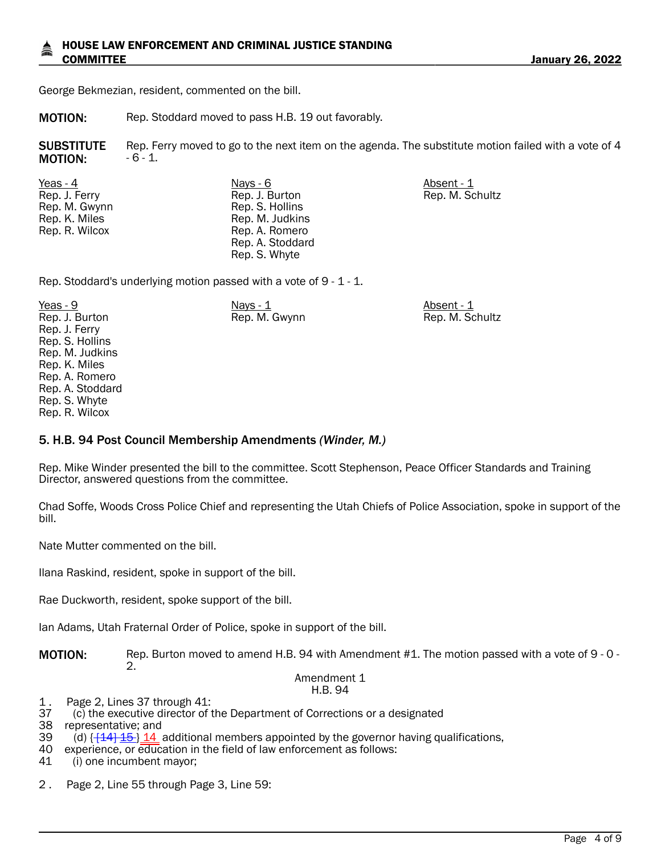George Bekmezian, resident, commented on the bill.

MOTION: Rep. Stoddard moved to pass H.B. 19 out favorably.

**SUBSTITUTE** MOTION: Rep. Ferry moved to go to the next item on the agenda. The substitute motion failed with a vote of 4  $-6 - 1$ .

Yeas - 4 Nays - 6 Absent - 1 Rep. J. Ferry Rep. M. Gwynn Rep. K. Miles Rep. R. Wilcox

Rep. J. Burton Rep. S. Hollins Rep. M. Judkins Rep. A. Romero Rep. A. Stoddard Rep. S. Whyte

Rep. M. Schultz

Rep. Stoddard's underlying motion passed with a vote of 9 - 1 - 1.

<u>Yeas - 9</u> Nays - <u>1 Absent - 1 Absent - 1 Absent - 1 Absent - 1 Absent - 1 Absent - 1 Absent - 1 Absent - 1 Absent - 1 Absent - 1 Absent - 1 Absent - 1 Absent - 1 Absent - 1 Absent - 1 Absent - 1 Absent - 1 Absent - 1 Abs</u> Rep. J. Burton Rep. J. Ferry Rep. S. Hollins Rep. M. Judkins Rep. K. Miles Rep. A. Romero Rep. A. Stoddard Rep. S. Whyte Rep. R. Wilcox Rep. M. Gwynn Rep. M. Schultz

## 5. H.B. 94 Post Council Membership Amendments *(Winder, M.)*

Rep. Mike Winder presented the bill to the committee. Scott Stephenson, Peace Officer Standards and Training Director, answered questions from the committee.

Chad Soffe, Woods Cross Police Chief and representing the Utah Chiefs of Police Association, spoke in support of the bill.

Nate Mutter commented on the bill.

Ilana Raskind, resident, spoke in support of the bill.

Rae Duckworth, resident, spoke support of the bill.

Ian Adams, Utah Fraternal Order of Police, spoke in support of the bill.

MOTION: Rep. Burton moved to amend H.B. 94 with Amendment #1. The motion passed with a vote of 9 - 0 -2.

#### Amendment 1 H.B. 94

- 1. Page 2, Lines 37 through 41:<br>37 (c) the executive director of t
- 37 (c) the executive director of the Department of Corrections or a designated

representative; and

- 39 (d)  $\left\{\frac{144}{15}\right\}$   $\frac{14}{14}$  additional members appointed by the governor having qualifications, 40 experience, or education in the field of law enforcement as follows:
- 40 experience, or education in the field of law enforcement as follows:<br>41 (i) one incumbent mavor:

(i) one incumbent mayor;

2 . Page 2, Line 55 through Page 3, Line 59: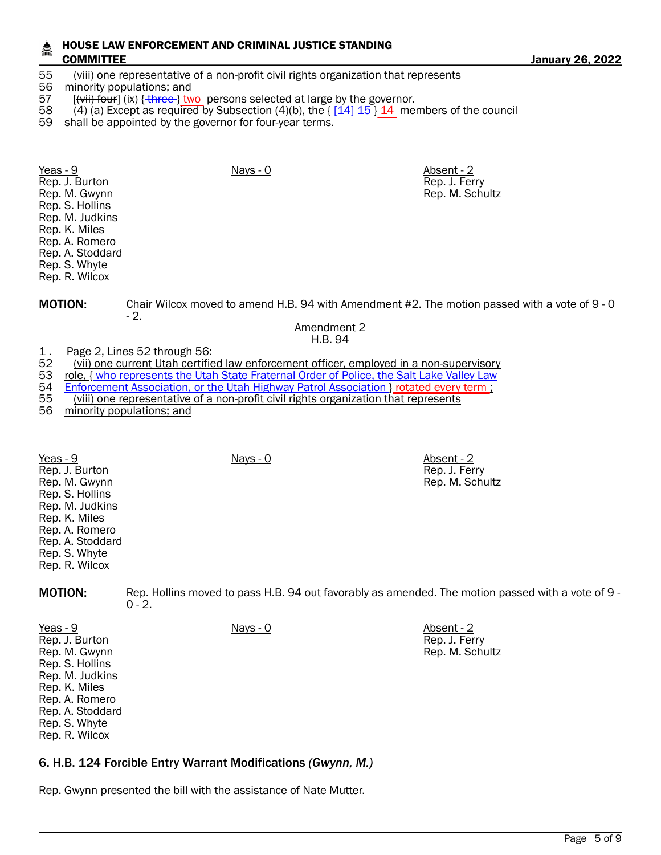## 55 (viii) one representative of a non-profit civil rights organization that represents<br>56 minority populations: and

#### minority populations; and

- 57 [(<del>vii) four</del>] (ix)  $\{\frac{three}{100}$  persons selected at large by the governor.<br>58 (4) (a) Except as required by Subsection (4)(b), the {<del>[144] 15}</del> 14 me
- 58 (4) (a) Except as required by Subsection (4)(b), the  $\left\{\frac{14}{14}\right\}$   $\frac{15}{14}$  members of the council 59 shall be appointed by the governor for four-year terms.
- shall be appointed by the governor for four-year terms.

| Yeas - 9<br>Rep. J. Burton<br>Rep. M. Gwynn<br>Rep. S. Hollins<br>Rep. M. Judkins<br>Rep. K. Miles<br>Rep. A. Romero<br>Rep. A. Stoddard<br>Rep. S. Whyte<br>Rep. R. Wilcox | $Nays - 0$ | Absent - 2<br>Rep. J. Ferry<br>Rep. M. Schultz |
|-----------------------------------------------------------------------------------------------------------------------------------------------------------------------------|------------|------------------------------------------------|
|                                                                                                                                                                             |            |                                                |

MOTION: Chair Wilcox moved to amend H.B. 94 with Amendment #2. The motion passed with a vote of 9 - 0

- 2.

#### Amendment 2 H.B. 94

- 1. Page 2, Lines 52 through 56:<br>52 (vii) one current Utah certifie
- 52 (vii) one current Utah certified law enforcement officer, employed in a non-supervisory<br>53 role, <del>(who represents the Utah State Fraternal Order of Police, the Salt Lake Valley Law</del>
- 53 role, (who represents the Utah State Fraternal Order of Police, the Salt Lake Valley Law<br>54 Enforcement Association, or the Utah Highway Patrol Association I rotated every term:
- 54 Enforcement Association, or the Utah Highway Patrol Association J rotated every term ;<br>55 (viii) one representative of a non-profit civil rights organization that represents
- 55 (viii) one representative of a non-profit civil rights organization that represents 56 minority populations: and
- minority populations; and

Rep. J. Ferry Rep. M. Schultz

Yeas - 9 Nays - 0 Absent - 2 Rep. J. Burton Rep. M. Gwynn Rep. S. Hollins Rep. M. Judkins Rep. K. Miles Rep. A. Romero Rep. A. Stoddard Rep. S. Whyte Rep. R. Wilcox

MOTION: Rep. Hollins moved to pass H.B. 94 out favorably as amended. The motion passed with a vote of 9 -  $0 - 2.$ 

Yeas - 9 Nays - 0 Nays - 0 Absent - 2 Rep. J. Ferry Rep. M. Schultz

Rep. J. Burton Rep. M. Gwynn Rep. S. Hollins Rep. M. Judkins Rep. K. Miles Rep. A. Romero Rep. A. Stoddard Rep. S. Whyte Rep. R. Wilcox

## 6. H.B. 124 Forcible Entry Warrant Modifications *(Gwynn, M.)*

Rep. Gwynn presented the bill with the assistance of Nate Mutter.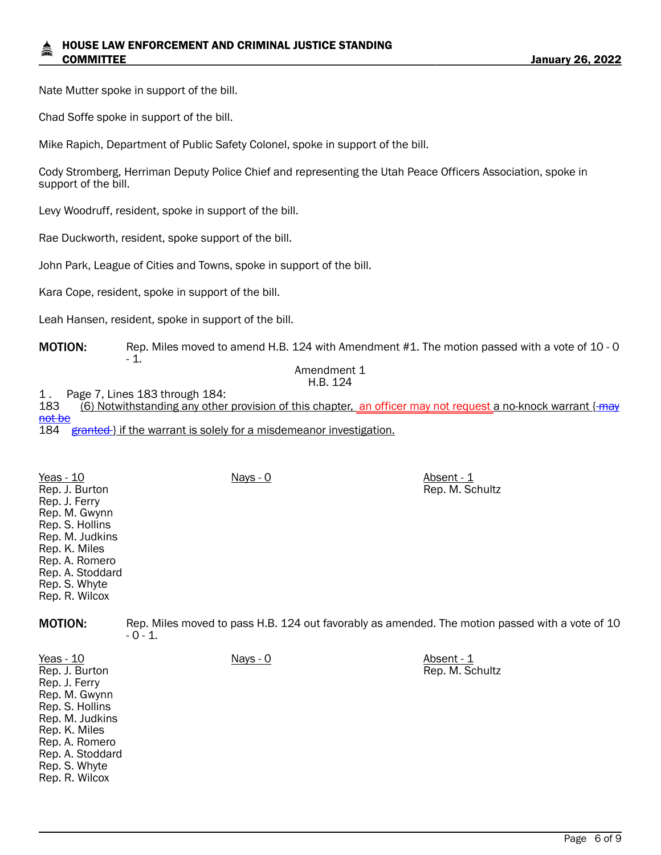Nate Mutter spoke in support of the bill.

Chad Soffe spoke in support of the bill.

Mike Rapich, Department of Public Safety Colonel, spoke in support of the bill.

Cody Stromberg, Herriman Deputy Police Chief and representing the Utah Peace Officers Association, spoke in support of the bill.

Levy Woodruff, resident, spoke in support of the bill.

Rae Duckworth, resident, spoke support of the bill.

John Park, League of Cities and Towns, spoke in support of the bill.

Kara Cope, resident, spoke in support of the bill.

Leah Hansen, resident, spoke in support of the bill.

#### MOTION: Rep. Miles moved to amend H.B. 124 with Amendment #1. The motion passed with a vote of 10 - 0 - 1.

#### Amendment 1 H.B. 124

1. Page 7, Lines 183 through 184:<br>183 (6) Notwithstanding any other

 $(6)$  Notwithstanding any other provision of this chapter, an officer may not request a no-knock warrant  $\{$  may not be

184 granted } if the warrant is solely for a misdemeanor investigation.

| Yeas - 10<br>Rep. J. Burton                         | <u>Nays - 0</u>                                                                                             | Absent - 1<br>Rep. M. Schultz |  |
|-----------------------------------------------------|-------------------------------------------------------------------------------------------------------------|-------------------------------|--|
| Rep. J. Ferry<br>Rep. M. Gwynn                      |                                                                                                             |                               |  |
| Rep. S. Hollins<br>Rep. M. Judkins<br>Rep. K. Miles |                                                                                                             |                               |  |
| Rep. A. Romero<br>Rep. A. Stoddard                  |                                                                                                             |                               |  |
| Rep. S. Whyte<br>Rep. R. Wilcox                     |                                                                                                             |                               |  |
| <b>MOTION:</b>                                      | Rep. Miles moved to pass H.B. 124 out favorably as amended. The motion passed with a vote of 10<br>$-0-1$ . |                               |  |

| Yeas - $10$      | Nays - 0 | Absent - 1      |
|------------------|----------|-----------------|
| Rep. J. Burton   |          | Rep. M. Schultz |
| Rep. J. Ferry    |          |                 |
| Rep. M. Gwynn    |          |                 |
| Rep. S. Hollins  |          |                 |
| Rep. M. Judkins  |          |                 |
| Rep. K. Miles    |          |                 |
| Rep. A. Romero   |          |                 |
| Rep. A. Stoddard |          |                 |
| Rep. S. Whyte    |          |                 |
| Rep. R. Wilcox   |          |                 |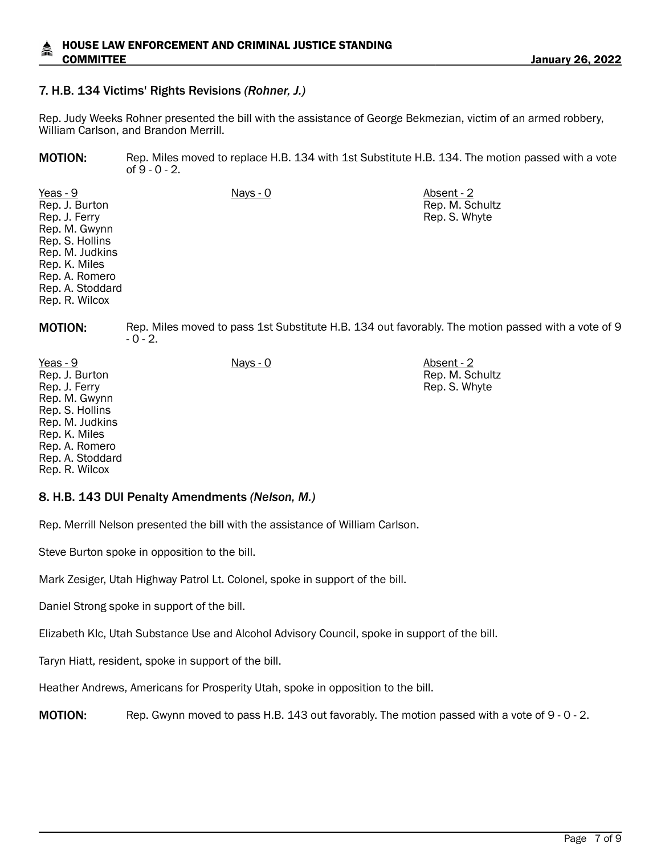### 7. H.B. 134 Victims' Rights Revisions *(Rohner, J.)*

Rep. Judy Weeks Rohner presented the bill with the assistance of George Bekmezian, victim of an armed robbery, William Carlson, and Brandon Merrill.

MOTION: Rep. Miles moved to replace H.B. 134 with 1st Substitute H.B. 134. The motion passed with a vote of 9 - 0 - 2.

> Rep. M. Schultz Rep. S. Whyte

Yeas - 9 Nays - 0 Absent - 2 Rep. J. Burton Rep. J. Ferry Rep. M. Gwynn Rep. S. Hollins Rep. M. Judkins Rep. K. Miles Rep. A. Romero Rep. A. Stoddard Rep. R. Wilcox

MOTION: Rep. Miles moved to pass 1st Substitute H.B. 134 out favorably. The motion passed with a vote of 9 - 0 - 2.

| Yeas - 9         | $Nays - 0$ | Absent - 2      |
|------------------|------------|-----------------|
| Rep. J. Burton   |            | Rep. M. Schultz |
| Rep. J. Ferry    |            | Rep. S. Whyte   |
| Rep. M. Gwynn    |            |                 |
| Rep. S. Hollins  |            |                 |
| Rep. M. Judkins  |            |                 |
| Rep. K. Miles    |            |                 |
| Rep. A. Romero   |            |                 |
| Rep. A. Stoddard |            |                 |
| Rep. R. Wilcox   |            |                 |

#### 8. H.B. 143 DUI Penalty Amendments *(Nelson, M.)*

Rep. Merrill Nelson presented the bill with the assistance of William Carlson.

Steve Burton spoke in opposition to the bill.

Mark Zesiger, Utah Highway Patrol Lt. Colonel, spoke in support of the bill.

Daniel Strong spoke in support of the bill.

Elizabeth Klc, Utah Substance Use and Alcohol Advisory Council, spoke in support of the bill.

Taryn Hiatt, resident, spoke in support of the bill.

Heather Andrews, Americans for Prosperity Utah, spoke in opposition to the bill.

MOTION: Rep. Gwynn moved to pass H.B. 143 out favorably. The motion passed with a vote of 9 - 0 - 2.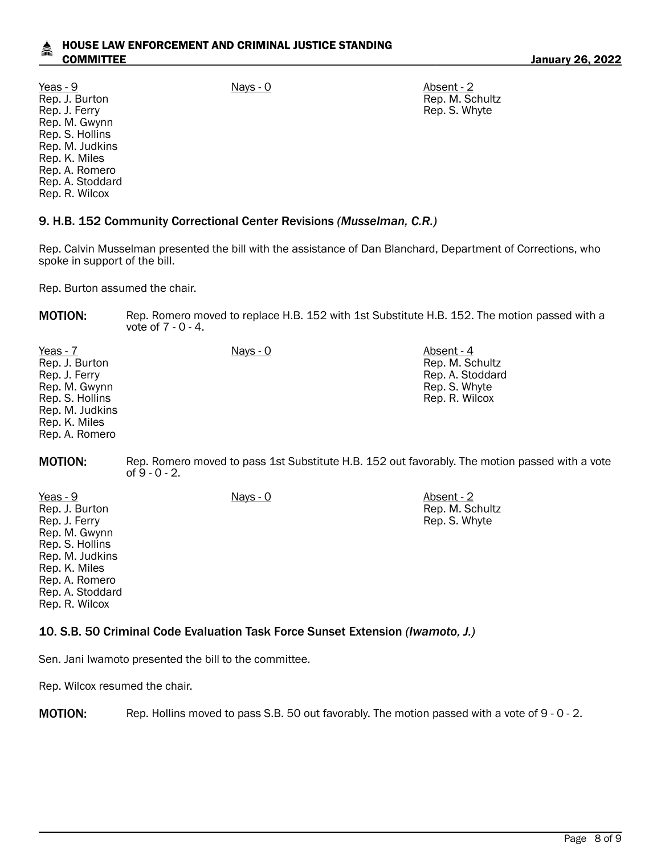Yeas - 9 Nays - 0 Absent - 2 Rep. J. Burton Rep. J. Ferry Rep. M. Gwynn Rep. S. Hollins Rep. M. Judkins Rep. K. Miles Rep. A. Romero Rep. A. Stoddard Rep. R. Wilcox

Rep. M. Schultz Rep. S. Whyte

## 9. H.B. 152 Community Correctional Center Revisions *(Musselman, C.R.)*

Rep. Calvin Musselman presented the bill with the assistance of Dan Blanchard, Department of Corrections, who spoke in support of the bill.

Rep. Burton assumed the chair.

MOTION: Rep. Romero moved to replace H.B. 152 with 1st Substitute H.B. 152. The motion passed with a vote of 7 - 0 - 4.

| Yeas - 7        | $Nays - 0$ | Absent - 4       |
|-----------------|------------|------------------|
| Rep. J. Burton  |            | Rep. M. Schultz  |
| Rep. J. Ferry   |            | Rep. A. Stoddard |
| Rep. M. Gwynn   |            | Rep. S. Whyte    |
| Rep. S. Hollins |            | Rep. R. Wilcox   |
| Rep. M. Judkins |            |                  |
| Rep. K. Miles   |            |                  |
| Rep. A. Romero  |            |                  |

**MOTION:** Rep. Romero moved to pass 1st Substitute H.B. 152 out favorably. The motion passed with a vote of 9 - 0 - 2.

| $Yeas - 9$       | Nays - 0 | Absent - 2      |
|------------------|----------|-----------------|
| Rep. J. Burton   |          | Rep. M. Schultz |
| Rep. J. Ferry    |          | Rep. S. Whyte   |
| Rep. M. Gwynn    |          |                 |
| Rep. S. Hollins  |          |                 |
| Rep. M. Judkins  |          |                 |
| Rep. K. Miles    |          |                 |
| Rep. A. Romero   |          |                 |
| Rep. A. Stoddard |          |                 |
| Rep. R. Wilcox   |          |                 |

## 10. S.B. 50 Criminal Code Evaluation Task Force Sunset Extension *(Iwamoto, J.)*

Sen. Jani Iwamoto presented the bill to the committee.

Rep. Wilcox resumed the chair.

MOTION: Rep. Hollins moved to pass S.B. 50 out favorably. The motion passed with a vote of 9 - 0 - 2.